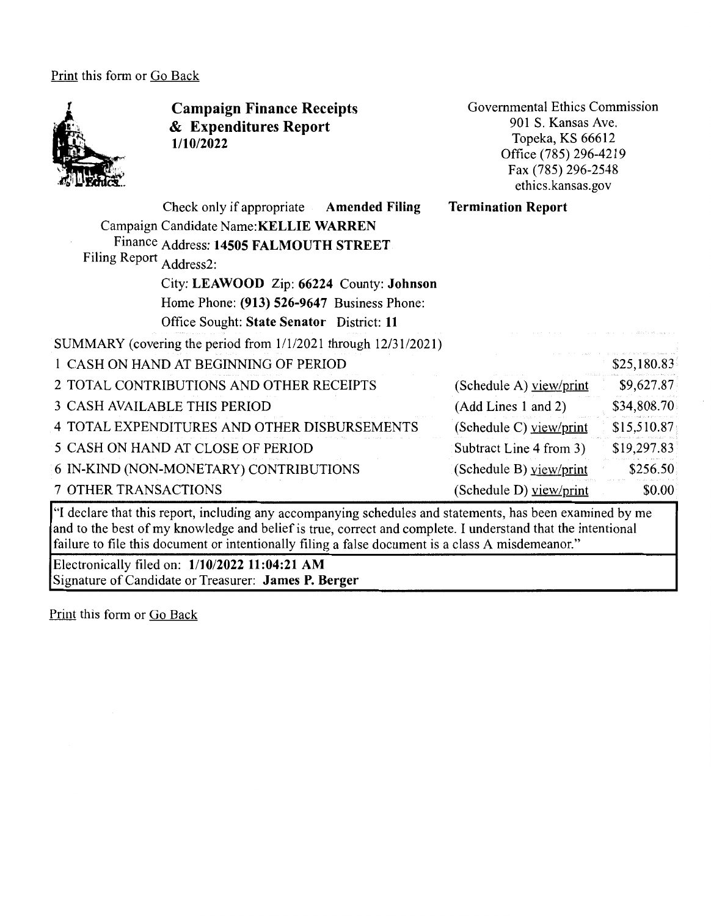Print this form or Go Back



**Campaign Finance Receipts**  & **Expenditures Report 1/10/2022** 

Governmental Ethics Commission 901 S. Kansas Ave. Topeka, KS 66612 Office (785) 296-4219 Fax(785)296-2548 ethics.kansas.gov

| Filing Report Address2: | Check only if appropriate Amended Filing<br>Campaign Candidate Name: KELLIE WARREN<br>Finance Address: 14505 FALMOUTH STREET<br>City: LEAWOOD Zip: 66224 County: Johnson<br>Home Phone: (913) 526-9647 Business Phone:<br>Office Sought: State Senator District: 11 | <b>Termination Report</b> |             |
|-------------------------|---------------------------------------------------------------------------------------------------------------------------------------------------------------------------------------------------------------------------------------------------------------------|---------------------------|-------------|
|                         | SUMMARY (covering the period from 1/1/2021 through 12/31/2021)                                                                                                                                                                                                      |                           |             |
|                         | 1 CASH ON HAND AT BEGINNING OF PERIOD                                                                                                                                                                                                                               |                           | \$25,180.83 |
|                         | 2 TOTAL CONTRIBUTIONS AND OTHER RECEIPTS                                                                                                                                                                                                                            | (Schedule A) view/print   | \$9,627.87  |
|                         | <b>3 CASH AVAILABLE THIS PERIOD</b>                                                                                                                                                                                                                                 | (Add Lines 1 and 2)       | \$34,808.70 |
|                         | 4 TOTAL EXPENDITURES AND OTHER DISBURSEMENTS                                                                                                                                                                                                                        | (Schedule C) $view/print$ | \$15,510.87 |
|                         | 5 CASH ON HAND AT CLOSE OF PERIOD                                                                                                                                                                                                                                   | Subtract Line 4 from 3)   | \$19,297.83 |
|                         | 6 IN-KIND (NON-MONETARY) CONTRIBUTIONS                                                                                                                                                                                                                              | (Schedule B) view/print   | \$256.50    |
| 7 OTHER TRANSACTIONS    |                                                                                                                                                                                                                                                                     | (Schedule D) yiew/print   | \$0.00      |

"I declare that this report, including any accompanying schedules and statements, has been examined by me and to the best of my knowledge and belief is true, correct and complete. I understand that the intentional failure to file this document or intentionally filing a false document is a class A misdemeanor."

Electronically filed on: **1/10/2022 11:04:21 AM**  Signature of Candidate or Treasurer: **James P. Berger** 

Print this form or Go Back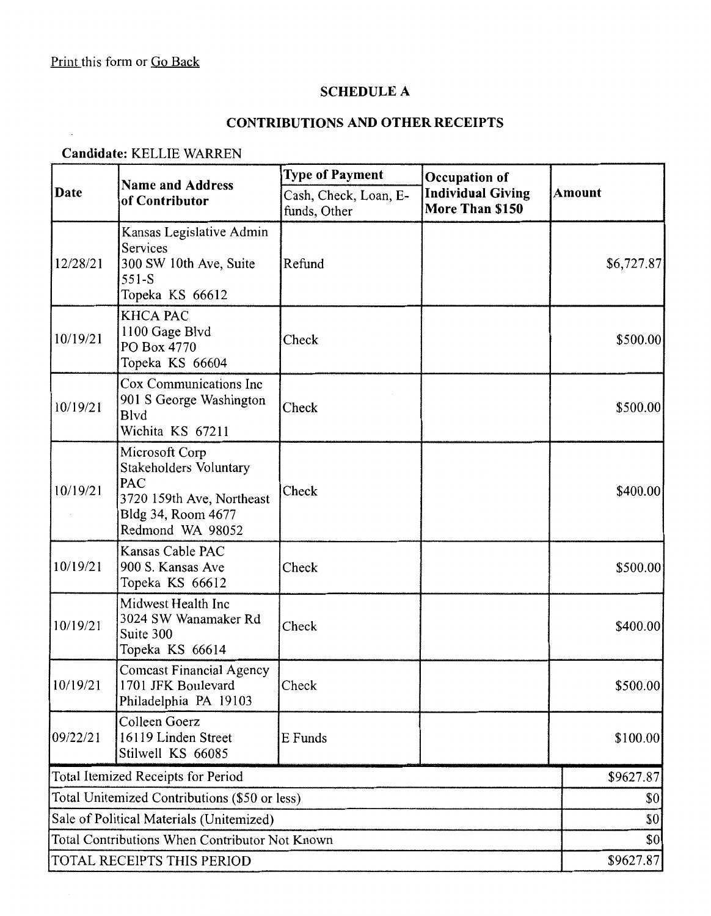$\mathbf{r}$ 

# **SCHEDULE A**

# **CONTRIBUTIONS AND OTHER RECEIPTS**

#### **Candidate:** KELLIE WARREN

| Date                                           | <b>Name and Address</b><br>of Contributor                                                                                     | <b>Type of Payment</b>                | Occupation of<br><b>Individual Giving</b><br>More Than \$150 | <b>Amount</b> |
|------------------------------------------------|-------------------------------------------------------------------------------------------------------------------------------|---------------------------------------|--------------------------------------------------------------|---------------|
|                                                |                                                                                                                               | Cash, Check, Loan, E-<br>funds, Other |                                                              |               |
| 12/28/21                                       | Kansas Legislative Admin<br>Services<br>300 SW 10th Ave, Suite<br>$551-S$<br>Topeka KS 66612                                  | Refund                                |                                                              | \$6,727.87    |
| 10/19/21                                       | <b>KHCA PAC</b><br>1100 Gage Blvd<br>PO Box 4770<br>Topeka KS 66604                                                           | Check                                 |                                                              | \$500.00      |
| 10/19/21                                       | Cox Communications Inc<br>901 S George Washington<br><b>B</b> lvd<br>Wichita KS 67211                                         | Check                                 |                                                              | \$500.00      |
| 10/19/21                                       | Microsoft Corp<br>Stakeholders Voluntary<br><b>PAC</b><br>3720 159th Ave, Northeast<br>Bldg 34, Room 4677<br>Redmond WA 98052 | Check                                 |                                                              | \$400.00]     |
| 10/19/21                                       | Kansas Cable PAC<br>900 S. Kansas Ave<br>Topeka KS 66612                                                                      | Check                                 |                                                              | \$500.00      |
| 10/19/21                                       | Midwest Health Inc<br>3024 SW Wanamaker Rd<br>Suite 300<br>Topeka KS 66614                                                    | Check                                 |                                                              | \$400.00]     |
| 10/19/21                                       | <b>Comcast Financial Agency</b><br>1701 JFK Boulevard<br>Philadelphia PA 19103                                                | Check                                 |                                                              | \$500.00      |
| 09/22/21                                       | Colleen Goerz<br>16119 Linden Street<br>Stilwell KS 66085                                                                     | E Funds                               |                                                              | \$100.00]     |
| Total Itemized Receipts for Period             |                                                                                                                               |                                       | \$9627.87                                                    |               |
| Total Unitemized Contributions (\$50 or less)  |                                                                                                                               |                                       | \$0                                                          |               |
| Sale of Political Materials (Unitemized)       |                                                                                                                               |                                       |                                                              | \$0           |
| Total Contributions When Contributor Not Known |                                                                                                                               |                                       |                                                              | \$0           |
| TOTAL RECEIPTS THIS PERIOD                     |                                                                                                                               |                                       |                                                              | \$9627.87     |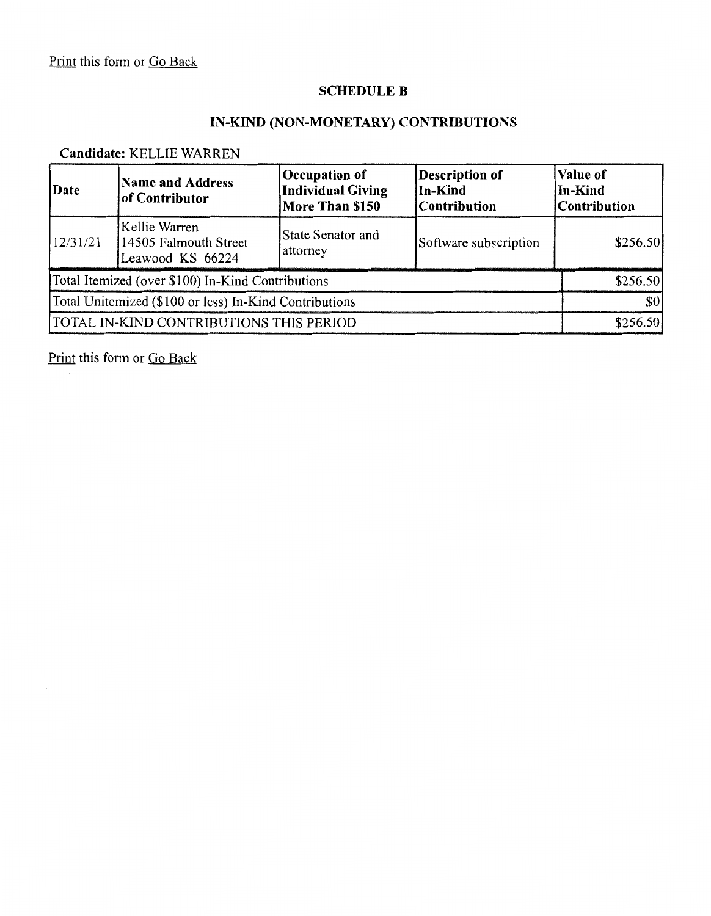$\sim$ 

# **SCHEDULE B**

#### **IN-KIND (NON-MONETARY) CONTRIBUTIONS**

# **Candidate:** KELLIE WARREN

| Date                                                   | Name and Address<br>of Contributor                         | Occupation of<br><b>Individual Giving</b><br>More Than \$150 | Description of<br>In-Kind<br><b>Contribution</b> | <b>Value of</b><br>In-Kind<br><b>Contribution</b> |
|--------------------------------------------------------|------------------------------------------------------------|--------------------------------------------------------------|--------------------------------------------------|---------------------------------------------------|
| 12/31/21                                               | Kellie Warren<br>14505 Falmouth Street<br>Leawood KS 66224 | State Senator and<br>attorney                                | Software subscription                            | \$256.50                                          |
| Total Itemized (over \$100) In-Kind Contributions      |                                                            |                                                              |                                                  | \$256.50                                          |
| Total Unitemized (\$100 or less) In-Kind Contributions |                                                            |                                                              | \$0                                              |                                                   |
| <b>TOTAL IN-KIND CONTRIBUTIONS THIS PERIOD</b>         |                                                            |                                                              | \$256.50                                         |                                                   |

Print this form or Go Back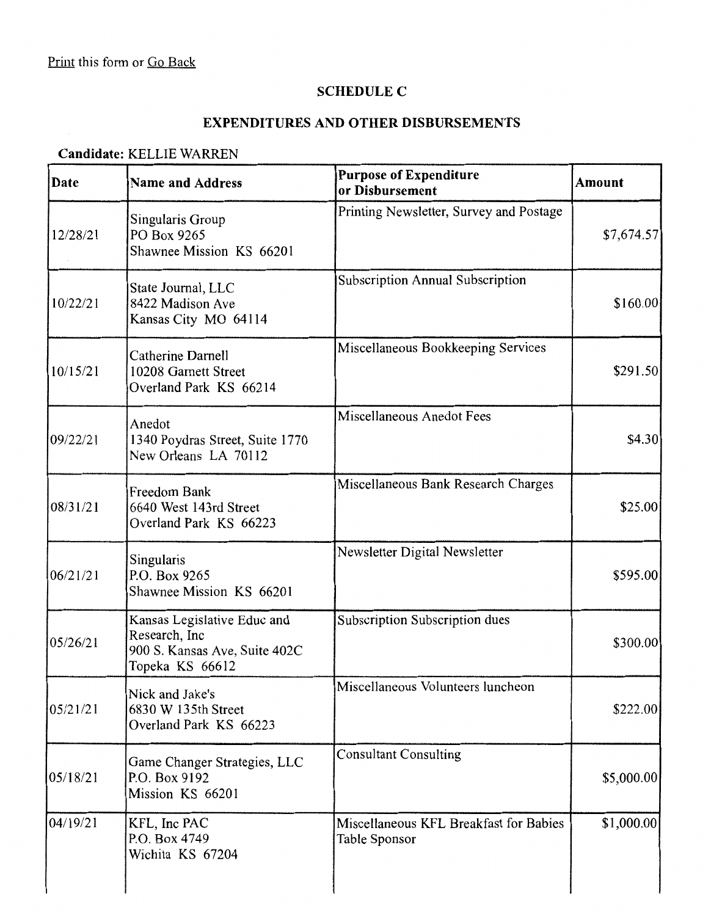#### **SCHEDULE C**

# **EXPENDITURES AND OTHER DISBURSEMENTS**

# **Candidate:** KELLIE WARREN

| Date     | <b>Purpose of Expenditure</b><br><b>Name and Address</b><br>or Disbursement                      |                                                         | <b>Amount</b> |  |
|----------|--------------------------------------------------------------------------------------------------|---------------------------------------------------------|---------------|--|
| 12/28/21 | Singularis Group<br>PO Box 9265<br>Shawnee Mission KS 66201                                      | Printing Newsletter, Survey and Postage                 | \$7,674.57    |  |
| 10/22/21 | State Journal, LLC<br>8422 Madison Ave<br>Kansas City MO 64114                                   | Subscription Annual Subscription                        | \$160.00      |  |
| 10/15/21 | Catherine Darnell<br>10208 Garnett Street<br>Overland Park KS 66214                              | Miscellaneous Bookkeeping Services                      | \$291.50      |  |
| 09/22/21 | Anedot<br>1340 Poydras Street, Suite 1770<br>New Orleans LA 70112                                | Miscellaneous Anedot Fees                               | \$4.30        |  |
| 08/31/21 | Freedom Bank<br>6640 West 143rd Street<br>Overland Park KS 66223                                 | Miscellaneous Bank Research Charges                     | \$25.00       |  |
| 06/21/21 | Singularis<br>P.O. Box 9265<br>Shawnee Mission KS 66201                                          | Newsletter Digital Newsletter                           | \$595.00      |  |
| 05/26/21 | Kansas Legislative Educ and<br>Research, Inc<br>900 S. Kansas Ave, Suite 402C<br>Topeka KS 66612 | Subscription Subscription dues                          | \$300.00      |  |
| 05/21/21 | Nick and Jake's<br>6830 W 135th Street<br>Overland Park KS 66223                                 | Miscellaneous Volunteers luncheon                       | \$222.00      |  |
| 05/18/21 | Game Changer Strategies, LLC<br>P.O. Box 9192<br>Mission KS 66201                                | <b>Consultant Consulting</b>                            | \$5,000.00    |  |
| 04/19/21 | KFL, Inc PAC<br>P.O. Box 4749<br>Wichita KS 67204                                                | Miscellaneous KFL Breakfast for Babies<br>Table Sponsor | \$1,000.00]   |  |